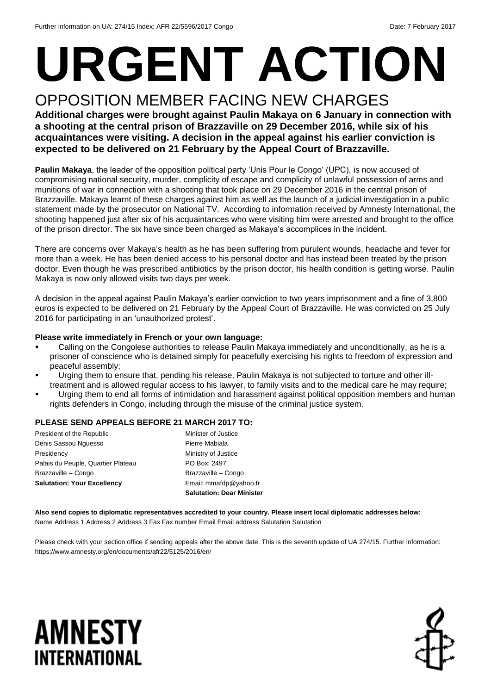# **URGENT ACTION** OPPOSITION MEMBER FACING NEW CHARGES

#### **Additional charges were brought against Paulin Makaya on 6 January in connection with a shooting at the central prison of Brazzaville on 29 December 2016, while six of his acquaintances were visiting. A decision in the appeal against his earlier conviction is expected to be delivered on 21 February by the Appeal Court of Brazzaville.**

**Paulin Makaya**, the leader of the opposition political party 'Unis Pour le Congo' (UPC), is now accused of compromising national security, murder, complicity of escape and complicity of unlawful possession of arms and munitions of war in connection with a shooting that took place on 29 December 2016 in the central prison of Brazzaville. Makaya learnt of these charges against him as well as the launch of a judicial investigation in a public statement made by the prosecutor on National TV. According to information received by Amnesty International, the shooting happened just after six of his acquaintances who were visiting him were arrested and brought to the office of the prison director. The six have since been charged as Makaya's accomplices in the incident.

There are concerns over Makaya's health as he has been suffering from purulent wounds, headache and fever for more than a week. He has been denied access to his personal doctor and has instead been treated by the prison doctor. Even though he was prescribed antibiotics by the prison doctor, his health condition is getting worse. Paulin Makaya is now only allowed visits two days per week.

A decision in the appeal against Paulin Makaya's earlier conviction to two years imprisonment and a fine of 3,800 euros is expected to be delivered on 21 February by the Appeal Court of Brazzaville. He was convicted on 25 July 2016 for participating in an 'unauthorized protest'.

#### **Please write immediately in French or your own language:**

- Calling on the Congolese authorities to release Paulin Makaya immediately and unconditionally, as he is a prisoner of conscience who is detained simply for peacefully exercising his rights to freedom of expression and peaceful assembly;
- Urging them to ensure that, pending his release, Paulin Makaya is not subjected to torture and other illtreatment and is allowed regular access to his lawyer, to family visits and to the medical care he may require;
- Urging them to end all forms of intimidation and harassment against political opposition members and human rights defenders in Congo, including through the misuse of the criminal justice system.

#### **PLEASE SEND APPEALS BEFORE 21 MARCH 2017 TO:**

|                                    | <b>Salutation: Dear Minister</b> |
|------------------------------------|----------------------------------|
| <b>Salutation: Your Excellency</b> | Email: mmafdp@yahoo.fr           |
| Brazzaville - Congo                | Brazzaville - Congo              |
| Palais du Peuple, Quartier Plateau | PO Box: 2497                     |
| Presidency                         | Ministry of Justice              |
| Denis Sassou Nguesso               | Pierre Mabiala                   |
| President of the Republic          | Minister of Justice              |

**Also send copies to diplomatic representatives accredited to your country. Please insert local diplomatic addresses below:** Name Address 1 Address 2 Address 3 Fax Fax number Email Email address Salutation Salutation

Please check with your section office if sending appeals after the above date. This is the seventh update of UA 274/15. Further information: https://www.amnesty.org/en/documents/afr22/5125/2016/en/